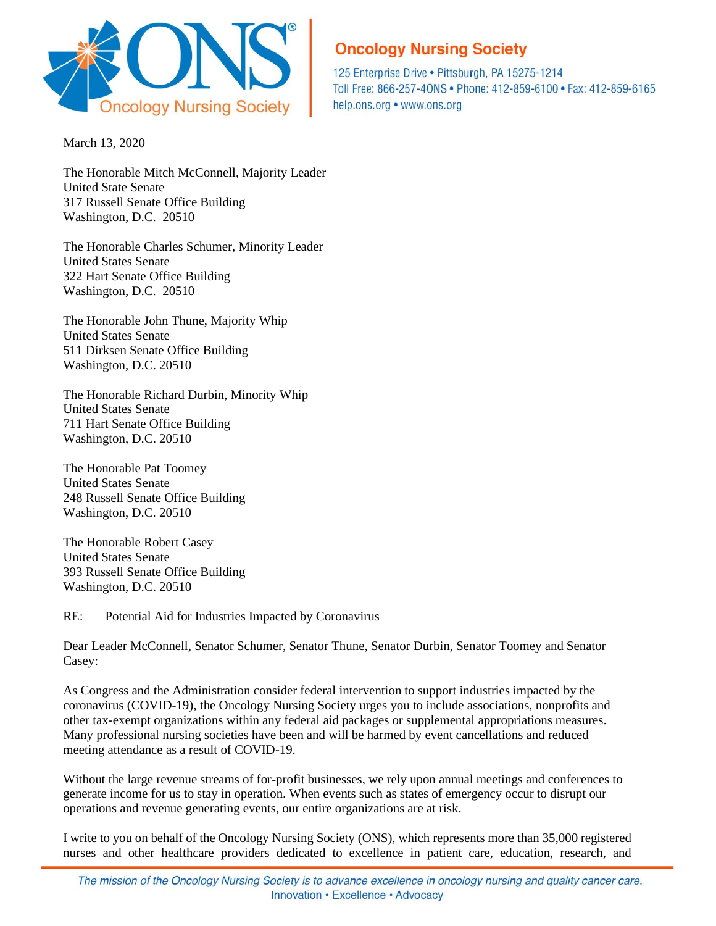

## **Oncology Nursing Society**

125 Enterprise Drive . Pittsburgh, PA 15275-1214 Toll Free: 866-257-40NS · Phone: 412-859-6100 · Fax: 412-859-6165 help.ons.org • www.ons.org

March 13, 2020

The Honorable Mitch McConnell, Majority Leader United State Senate 317 Russell Senate Office Building Washington, D.C. 20510

The Honorable Charles Schumer, Minority Leader United States Senate 322 Hart Senate Office Building Washington, D.C. 20510

The Honorable John Thune, Majority Whip United States Senate 511 Dirksen Senate Office Building Washington, D.C. 20510

The Honorable Richard Durbin, Minority Whip United States Senate 711 Hart Senate Office Building Washington, D.C. 20510

The Honorable Pat Toomey United States Senate 248 Russell Senate Office Building Washington, D.C. 20510

The Honorable Robert Casey United States Senate 393 Russell Senate Office Building Washington, D.C. 20510

RE: Potential Aid for Industries Impacted by Coronavirus

Dear Leader McConnell, Senator Schumer, Senator Thune, Senator Durbin, Senator Toomey and Senator Casey:

As Congress and the Administration consider federal intervention to support industries impacted by the coronavirus (COVID-19), the Oncology Nursing Society urges you to include associations, nonprofits and other tax-exempt organizations within any federal aid packages or supplemental appropriations measures. Many professional nursing societies have been and will be harmed by event cancellations and reduced meeting attendance as a result of COVID-19.

Without the large revenue streams of for-profit businesses, we rely upon annual meetings and conferences to generate income for us to stay in operation. When events such as states of emergency occur to disrupt our operations and revenue generating events, our entire organizations are at risk.

I write to you on behalf of the Oncology Nursing Society (ONS), which represents more than 35,000 registered nurses and other healthcare providers dedicated to excellence in patient care, education, research, and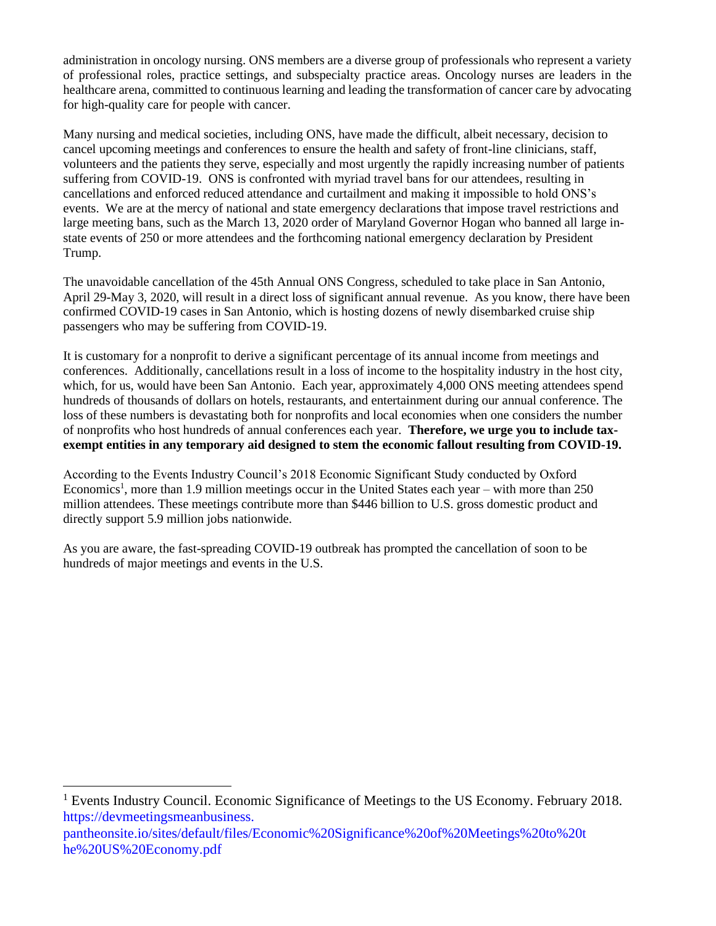administration in oncology nursing. ONS members are a diverse group of professionals who represent a variety of professional roles, practice settings, and subspecialty practice areas. Oncology nurses are leaders in the healthcare arena, committed to continuous learning and leading the transformation of cancer care by advocating for high-quality care for people with cancer.

Many nursing and medical societies, including ONS, have made the difficult, albeit necessary, decision to cancel upcoming meetings and conferences to ensure the health and safety of front-line clinicians, staff, volunteers and the patients they serve, especially and most urgently the rapidly increasing number of patients suffering from COVID-19. ONS is confronted with myriad travel bans for our attendees, resulting in cancellations and enforced reduced attendance and curtailment and making it impossible to hold ONS's events. We are at the mercy of national and state emergency declarations that impose travel restrictions and large meeting bans, such as the March 13, 2020 order of Maryland Governor Hogan who banned all large instate events of 250 or more attendees and the forthcoming national emergency declaration by President Trump.

The unavoidable cancellation of the 45th Annual ONS Congress, scheduled to take place in San Antonio, April 29-May 3, 2020, will result in a direct loss of significant annual revenue. As you know, there have been confirmed COVID-19 cases in San Antonio, which is hosting dozens of newly disembarked cruise ship passengers who may be suffering from COVID-19.

It is customary for a nonprofit to derive a significant percentage of its annual income from meetings and conferences. Additionally, cancellations result in a loss of income to the hospitality industry in the host city, which, for us, would have been San Antonio. Each year, approximately 4,000 ONS meeting attendees spend hundreds of thousands of dollars on hotels, restaurants, and entertainment during our annual conference. The loss of these numbers is devastating both for nonprofits and local economies when one considers the number of nonprofits who host hundreds of annual conferences each year. **Therefore, we urge you to include taxexempt entities in any temporary aid designed to stem the economic fallout resulting from COVID-19.**

According to the Events Industry Council's 2018 Economic Significant Study conducted by Oxford Economics<sup>1</sup>, more than 1.9 million meetings occur in the United States each year – with more than 250 million attendees. These meetings contribute more than \$446 billion to U.S. gross domestic product and directly support 5.9 million jobs nationwide.

As you are aware, the fast-spreading COVID-19 outbreak has prompted the cancellation of soon to be hundreds of major meetings and events in the U.S.

<sup>1</sup> Events Industry Council. Economic Significance of Meetings to the US Economy. February 2018. https://devmeetingsmeanbusiness. pantheonsite.io/sites/default/files/Economic%20Significance%20of%20Meetings%20to%20t he%20US%20Economy.pdf